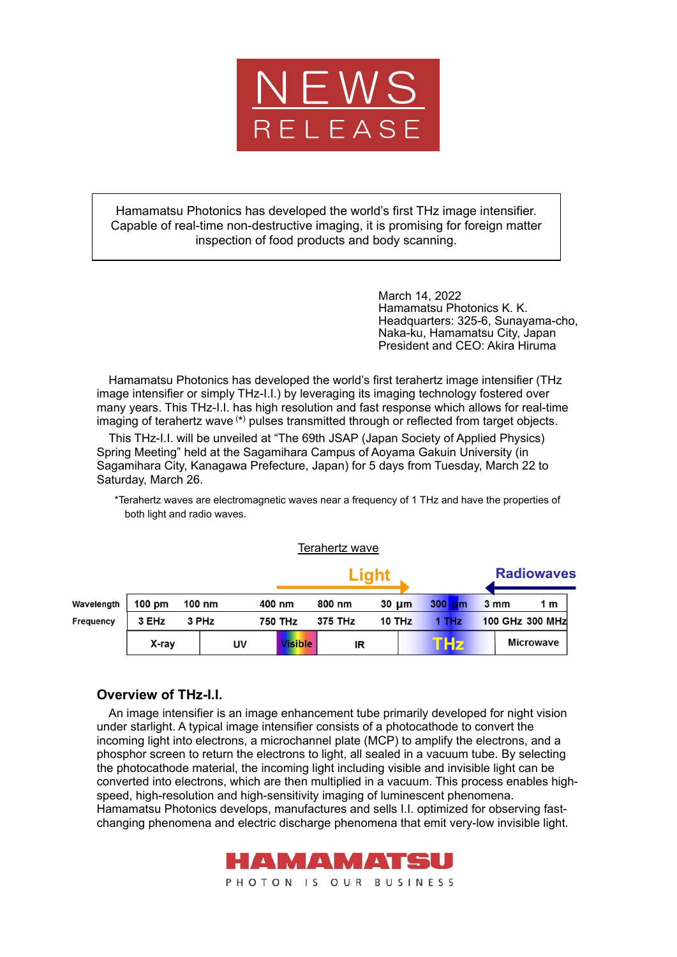

Hamamatsu Photonics has developed the world's first THz image intensifier. Capable of real-time non-destructive imaging, it is promising for foreign matter inspection of food products and body scanning.

> March 14, 2022 Hamamatsu Photonics K. K. Headquarters: 325-6, Sunayama-cho, Naka-ku, Hamamatsu City, Japan President and CEO: Akira Hiruma

Hamamatsu Photonics has developed the world's first terahertz image intensifier (THz image intensifier or simply THz-I.I.) by leveraging its imaging technology fostered over many years. This THz-I.I. has high resolution and fast response which allows for real-time imaging of terahertz wave (\*) pulses transmitted through or reflected from target objects.

This THz-I.I. will be unveiled at "The 69th JSAP (Japan Society of Applied Physics) Spring Meeting" held at the Sagamihara Campus of Aoyama Gakuin University (in Sagamihara City, Kanagawa Prefecture, Japan) for 5 days from Tuesday, March 22 to Saturday, March 26.

\*Terahertz waves are electromagnetic waves near a frequency of 1 THz and have the properties of both light and radio waves.

Terahertz wave

|            |                  |        |       |        |                | .                        |            |  |           |                  |                   |                  |  |
|------------|------------------|--------|-------|--------|----------------|--------------------------|------------|--|-----------|------------------|-------------------|------------------|--|
|            |                  |        |       |        |                |                          |            |  |           |                  | <b>Radiowaves</b> |                  |  |
| Wavelength | $100 \text{ pm}$ | 100 nm |       | 400 nm |                | 800 nm                   | $30 \mu m$ |  | 300<br>um | $3 \, \text{mm}$ |                   | 1 m              |  |
| Frequency  | 3 EHz            |        | 3 PHz |        | <b>750 THz</b> | <b>10 THz</b><br>375 THz |            |  | 1 THz     |                  |                   | 100 GHz 300 MHz  |  |
|            | X-ray            |        | UV    |        | <b>Visible</b> | IR                       |            |  | Hz        |                  |                   | <b>Microwave</b> |  |

## **Overview of THz-I.I.**

An image intensifier is an image enhancement tube primarily developed for night vision under starlight. A typical image intensifier consists of a photocathode to convert the incoming light into electrons, a microchannel plate (MCP) to amplify the electrons, and a phosphor screen to return the electrons to light, all sealed in a vacuum tube. By selecting the photocathode material, the incoming light including visible and invisible light can be converted into electrons, which are then multiplied in a vacuum. This process enables highspeed, high-resolution and high-sensitivity imaging of luminescent phenomena. Hamamatsu Photonics develops, manufactures and sells I.I. optimized for observing fastchanging phenomena and electric discharge phenomena that emit very-low invisible light.

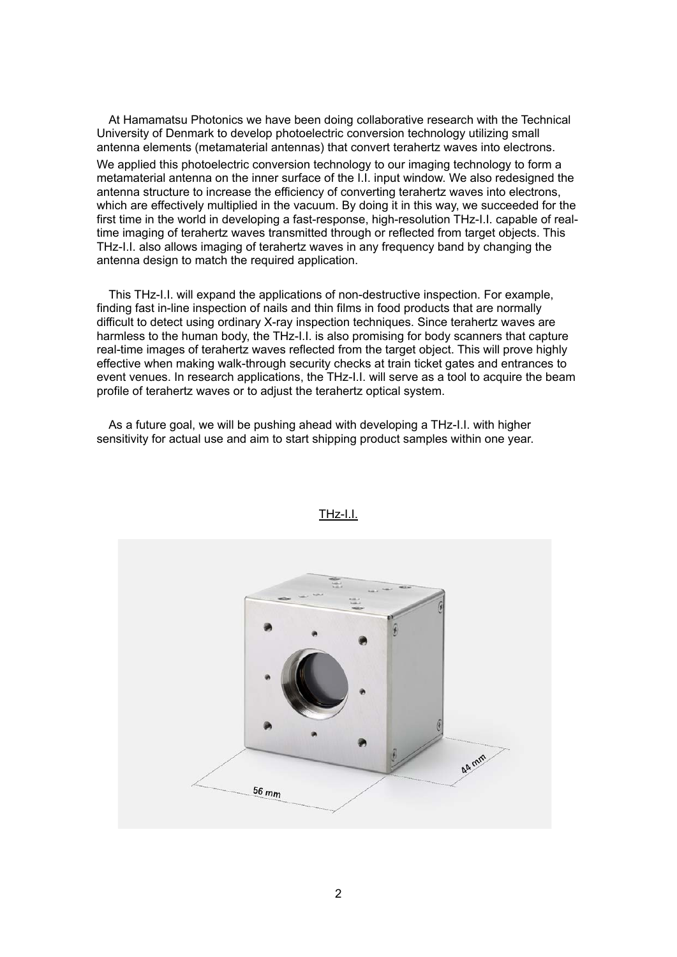At Hamamatsu Photonics we have been doing collaborative research with the Technical University of Denmark to develop photoelectric conversion technology utilizing small antenna elements (metamaterial antennas) that convert terahertz waves into electrons. We applied this photoelectric conversion technology to our imaging technology to form a metamaterial antenna on the inner surface of the I.I. input window. We also redesigned the antenna structure to increase the efficiency of converting terahertz waves into electrons, which are effectively multiplied in the vacuum. By doing it in this way, we succeeded for the first time in the world in developing a fast-response, high-resolution THz-I.I. capable of realtime imaging of terahertz waves transmitted through or reflected from target objects. This THz-I.I. also allows imaging of terahertz waves in any frequency band by changing the antenna design to match the required application.

This THz-I.I. will expand the applications of non-destructive inspection. For example, finding fast in-line inspection of nails and thin films in food products that are normally difficult to detect using ordinary X-ray inspection techniques. Since terahertz waves are harmless to the human body, the THz-I.I. is also promising for body scanners that capture real-time images of terahertz waves reflected from the target object. This will prove highly effective when making walk-through security checks at train ticket gates and entrances to event venues. In research applications, the THz-I.I. will serve as a tool to acquire the beam profile of terahertz waves or to adjust the terahertz optical system.

As a future goal, we will be pushing ahead with developing a THz-I.I. with higher sensitivity for actual use and aim to start shipping product samples within one year.



THz-I.I.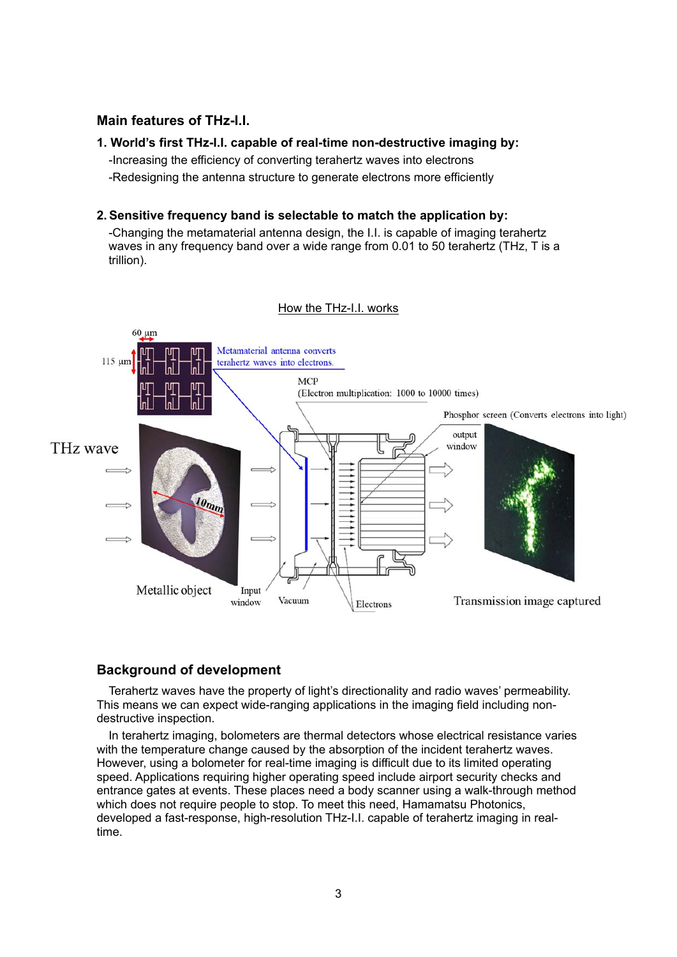# **Main features of THz-I.I.**

### **1. World's first THz-I.I. capable of real-time non-destructive imaging by:**

-Increasing the efficiency of converting terahertz waves into electrons

-Redesigning the antenna structure to generate electrons more efficiently

#### **2. Sensitive frequency band is selectable to match the application by:**

-Changing the metamaterial antenna design, the I.I. is capable of imaging terahertz waves in any frequency band over a wide range from 0.01 to 50 terahertz (THz, T is a trillion).



#### How the THz-I.I. works

## **Background of development**

Terahertz waves have the property of light's directionality and radio waves' permeability. This means we can expect wide-ranging applications in the imaging field including nondestructive inspection.

In terahertz imaging, bolometers are thermal detectors whose electrical resistance varies with the temperature change caused by the absorption of the incident terahertz waves. However, using a bolometer for real-time imaging is difficult due to its limited operating speed. Applications requiring higher operating speed include airport security checks and entrance gates at events. These places need a body scanner using a walk-through method which does not require people to stop. To meet this need, Hamamatsu Photonics, developed a fast-response, high-resolution THz-I.I. capable of terahertz imaging in realtime.